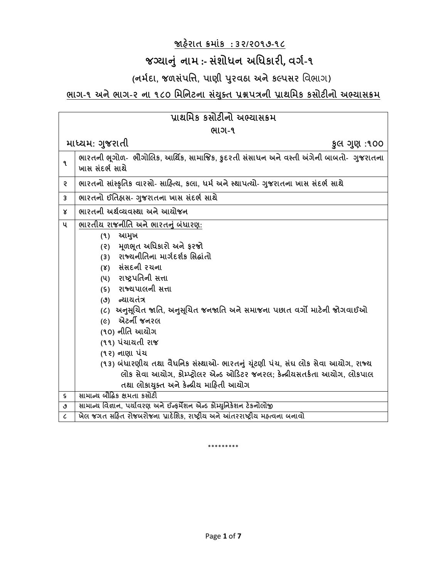## **જાહરે ાત ક્રમાાંક : ૩૨/૨૦૧૭-૧૮**

## **જગ્યાન ાં નામ :- સાંશોધન અધધકારી, વર્ગ-૧**

## **(નમગદા, જળસાંપધિ, પાણી પર વઠા અનેકલ્પસર** વિભાગ)

## **ભાર્-૧ અનેભાર્-૨ ના ૧૮૦ ધમધનટના સયાં ક્ ત પ્રશ્નપત્રની પ્રાથધમક કસોટીનો અભ્યાસક્રમ**

| પ્રાથમિક કસોટીનો અભ્યાસક્રમ |                                                                                                                                                                                                                                                                                                                                  |  |
|-----------------------------|----------------------------------------------------------------------------------------------------------------------------------------------------------------------------------------------------------------------------------------------------------------------------------------------------------------------------------|--|
| ભાગ-૧                       |                                                                                                                                                                                                                                                                                                                                  |  |
|                             | માધ્યમ: ગુજરાતી<br>કુલ ગુણ :૧૦૦                                                                                                                                                                                                                                                                                                  |  |
| ۹                           | ભારતની ભૂગોળ- ભૌગોલિક, આર્થિક, સામાજિક, કુદરતી સંસાધન અને વસ્તી અંગેની બાબતો- ગુજરાતના<br>ખાસ સંદર્ભ સાથે                                                                                                                                                                                                                        |  |
| S                           | ભારતનો સાંસ્કૃતિક વારસો- સાહિત્ય, કલા, ધર્મ અને સ્થાપત્યો- ગુજરાતના ખાસ સંદર્ભ સાથે                                                                                                                                                                                                                                              |  |
| 3                           | ભારતનો ઈતિહ્રાસ- ગુજરાતના ખાસ સંદર્ભ સાથે                                                                                                                                                                                                                                                                                        |  |
| Χ                           | ભારતની અર્થવ્યવસ્થા અને આયોજન                                                                                                                                                                                                                                                                                                    |  |
| પ                           | ભારતીય રાજનીતિ અને ભારતનું બંધારણ:                                                                                                                                                                                                                                                                                               |  |
|                             | આમુખ<br>(9)<br>મૂળભૂત અધિકારી અને ફરજો<br>(5)<br>રાજ્યનીતિના માર્ગદર્શક સિદ્ધાંતો<br>(3)<br>(४) સંસદની રચના<br>(૫) રાષ્ટ્રપતિની સત્તા<br>(s) રાજ્યપાલની સત્તા<br>(૭) ન્યાયતંત્ર<br>(૮)  અનુસૂચિત જાતિ, અનુસૂચિત જનજાતિ અને સમાજના પછાત વર્ગો માટેની જોગવાઈઓ<br>એટર્ની જનરલ<br>$(\epsilon)$<br>(૧૦) નીતિ આચોગ<br>(૧૧) પંચાયતી રાજ |  |
|                             | (૧૨) નાણા પંચ<br>(૧૩) બંધારણીય તથા વૈધનિક સંસ્થાઓ- ભારતનું યૂંટણી પંચ, સંઘ લોક સેવા આયોગ, રાજ્ય<br>લોક સેવા આયોગ, કોમ્પ્ટ્રોલર એન્ડ ઓડિટર જનરલ; કેન્દ્રીયસતર્કતા આયોગ, લોકપાલ<br>તથા લોકાયુક્ત અને કેન્દ્રીય માહિતી આયોગ                                                                                                         |  |
| S.                          | સામાન્ય બૌદ્ધિક ક્ષમતા કસોટી                                                                                                                                                                                                                                                                                                     |  |
| ٯ                           | સામાન્ય વિજ્ઞાન, પર્યાવરણ અને ઈન્ફર્મેશન એન્ડ કોમ્યુનિકેશન ટેકનોલોજી                                                                                                                                                                                                                                                             |  |
| $\epsilon$                  | ખેલ જગત સહિત રોજબરોજના પ્રાદેશિક, રાષ્ટ્રીય અને આંતરરાષ્ટ્રીય મહ્ત્વના બનાવો                                                                                                                                                                                                                                                     |  |

\*\*\*\*\*\*\*\*\*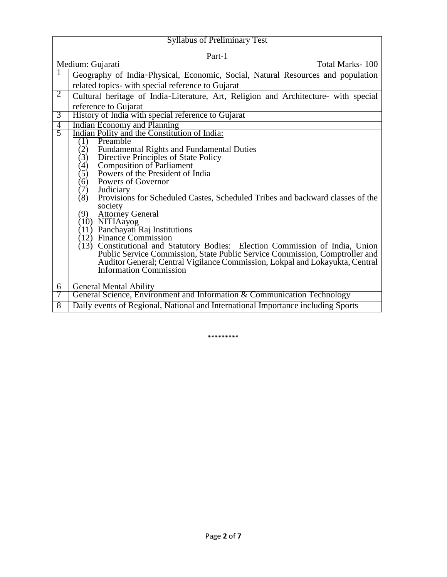| <b>Syllabus of Preliminary Test</b>                                                                           |  |  |
|---------------------------------------------------------------------------------------------------------------|--|--|
| Part-1                                                                                                        |  |  |
| Medium: Gujarati<br>Total Marks-100                                                                           |  |  |
| Geography of India-Physical, Economic, Social, Natural Resources and population                               |  |  |
| related topics- with special reference to Gujarat                                                             |  |  |
| $\overline{2}$<br>Cultural heritage of India-Literature, Art, Religion and Architecture- with special         |  |  |
| reference to Gujarat                                                                                          |  |  |
| History of India with special reference to Gujarat<br>3                                                       |  |  |
| <b>Indian Economy and Planning</b><br>$\overline{4}$                                                          |  |  |
| $\overline{5}$<br>Indian Polity and the Constitution of India:<br>Preamble                                    |  |  |
| (1)<br><b>Fundamental Rights and Fundamental Duties</b><br>(2)                                                |  |  |
| Directive Principles of State Policy<br>(3)                                                                   |  |  |
| Composition of Parliament<br>Powers of the President of India<br>(4)                                          |  |  |
| (5)                                                                                                           |  |  |
| Powers of Governor<br>(6)                                                                                     |  |  |
| (7)<br>Judiciary                                                                                              |  |  |
| (8)<br>Provisions for Scheduled Castes, Scheduled Tribes and backward classes of the<br>society               |  |  |
| <b>Attorney General</b><br>(9)                                                                                |  |  |
| (10) NITIAayog<br>(11) Panchayati Raj Institutions                                                            |  |  |
|                                                                                                               |  |  |
| $(12)$ Finance Commission                                                                                     |  |  |
| (13) Constitutional and Statutory Bodies: Election Commission of India, Union                                 |  |  |
| Public Service Commission, State Public Service Commission, Comptroller and                                   |  |  |
| Auditor General; Central Vigilance Commission, Lokpal and Lokayukta, Central<br><b>Information Commission</b> |  |  |
|                                                                                                               |  |  |
| <b>General Mental Ability</b><br>6                                                                            |  |  |
| General Science, Environment and Information & Communication Technology<br>7                                  |  |  |
| Daily events of Regional, National and International Importance including Sports<br>8                         |  |  |

\*\*\*\*\*\*\*\*\*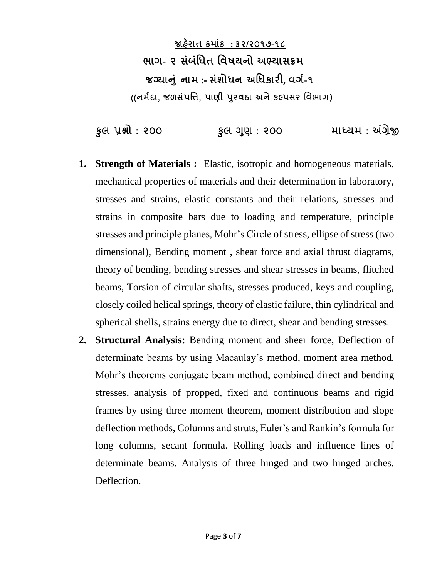**જાહરે ાત ક્રમાાંક : ૩૨/૨૦૧૭-૧૮ ભાર્- ૨ સાંબાંધધત ધવષયનો અભ્યાસક્રમ જગ્યાન ાં નામ :- સાંશોધન અધધકારી, વર્ગ-૧ ((નમગદા, જળસાંપધિ, પાણી પર વઠા અનેકલ્પસર** વિભાગ)

 **ક લ પ્રશ્નો : ૨૦૦ ક લ ગણ : ૨૦૦ માધ્યમ : અંગ્રેજી**

- **1. Strength of Materials :** Elastic, isotropic and homogeneous materials, mechanical properties of materials and their determination in laboratory, stresses and strains, elastic constants and their relations, stresses and strains in composite bars due to loading and temperature, principle stresses and principle planes, Mohr's Circle of stress, ellipse of stress (two dimensional), Bending moment , shear force and axial thrust diagrams, theory of bending, bending stresses and shear stresses in beams, flitched beams, Torsion of circular shafts, stresses produced, keys and coupling, closely coiled helical springs, theory of elastic failure, thin cylindrical and spherical shells, strains energy due to direct, shear and bending stresses.
- **2. Structural Analysis:** Bending moment and sheer force, Deflection of determinate beams by using Macaulay's method, moment area method, Mohr's theorems conjugate beam method, combined direct and bending stresses, analysis of propped, fixed and continuous beams and rigid frames by using three moment theorem, moment distribution and slope deflection methods, Columns and struts, Euler's and Rankin's formula for long columns, secant formula. Rolling loads and influence lines of determinate beams. Analysis of three hinged and two hinged arches. Deflection.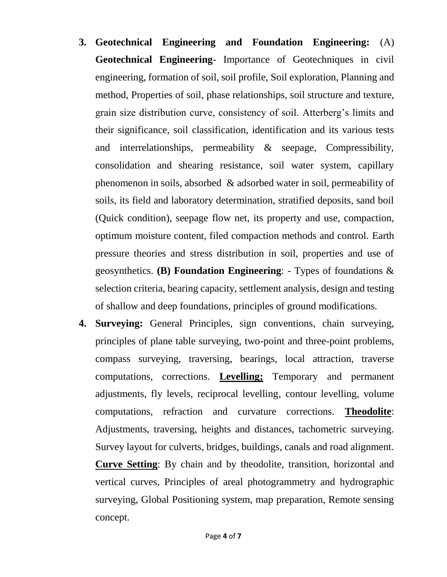- **3. Geotechnical Engineering and Foundation Engineering:** (A) **Geotechnical Engineering**- Importance of Geotechniques in civil engineering, formation of soil, soil profile, Soil exploration, Planning and method, Properties of soil, phase relationships, soil structure and texture, grain size distribution curve, consistency of soil. Atterberg's limits and their significance, soil classification, identification and its various tests and interrelationships, permeability & seepage, Compressibility, consolidation and shearing resistance, soil water system, capillary phenomenon in soils, absorbed & adsorbed water in soil, permeability of soils, its field and laboratory determination, stratified deposits, sand boil (Quick condition), seepage flow net, its property and use, compaction, optimum moisture content, filed compaction methods and control. Earth pressure theories and stress distribution in soil, properties and use of geosynthetics. **(B) Foundation Engineering**: - Types of foundations & selection criteria, bearing capacity, settlement analysis, design and testing of shallow and deep foundations, principles of ground modifications.
- **4. Surveying:** General Principles, sign conventions, chain surveying, principles of plane table surveying, two-point and three-point problems, compass surveying, traversing, bearings, local attraction, traverse computations, corrections. **Levelling;** Temporary and permanent adjustments, fly levels, reciprocal levelling, contour levelling, volume computations, refraction and curvature corrections. **Theodolite**: Adjustments, traversing, heights and distances, tachometric surveying. Survey layout for culverts, bridges, buildings, canals and road alignment. **Curve Setting**: By chain and by theodolite, transition, horizontal and vertical curves, Principles of areal photogrammetry and hydrographic surveying, Global Positioning system, map preparation, Remote sensing concept.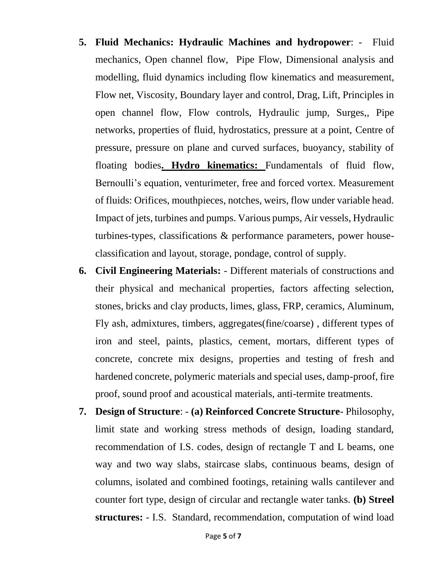- **5. Fluid Mechanics: Hydraulic Machines and hydropower**: Fluid mechanics, Open channel flow, Pipe Flow, Dimensional analysis and modelling, fluid dynamics including flow kinematics and measurement, Flow net, Viscosity, Boundary layer and control, Drag, Lift, Principles in open channel flow, Flow controls, Hydraulic jump, Surges,, Pipe networks, properties of fluid, hydrostatics, pressure at a point, Centre of pressure, pressure on plane and curved surfaces, buoyancy, stability of floating bodies**. Hydro kinematics:** Fundamentals of fluid flow, Bernoulli's equation, venturimeter, free and forced vortex. Measurement of fluids: Orifices, mouthpieces, notches, weirs, flow under variable head. Impact of jets, turbines and pumps. Various pumps, Air vessels, Hydraulic turbines-types, classifications & performance parameters, power houseclassification and layout, storage, pondage, control of supply.
- **6. Civil Engineering Materials:** Different materials of constructions and their physical and mechanical properties, factors affecting selection, stones, bricks and clay products, limes, glass, FRP, ceramics, Aluminum, Fly ash, admixtures, timbers, aggregates(fine/coarse) , different types of iron and steel, paints, plastics, cement, mortars, different types of concrete, concrete mix designs, properties and testing of fresh and hardened concrete, polymeric materials and special uses, damp-proof, fire proof, sound proof and acoustical materials, anti-termite treatments.
- **7. Design of Structure**: **(a) Reinforced Concrete Structure** Philosophy, limit state and working stress methods of design, loading standard, recommendation of I.S. codes, design of rectangle T and L beams, one way and two way slabs, staircase slabs, continuous beams, design of columns, isolated and combined footings, retaining walls cantilever and counter fort type, design of circular and rectangle water tanks. **(b) Streel structures:** - I.S. Standard, recommendation, computation of wind load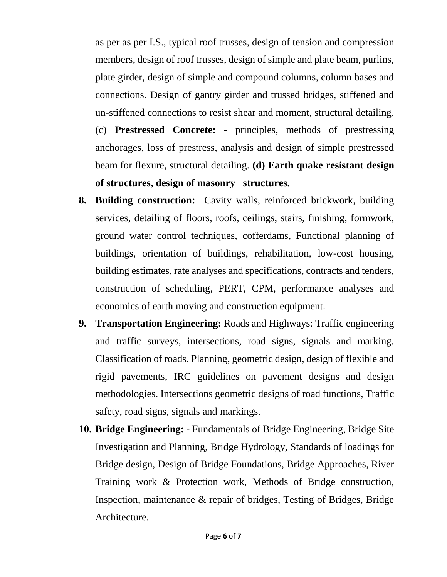as per as per I.S., typical roof trusses, design of tension and compression members, design of roof trusses, design of simple and plate beam, purlins, plate girder, design of simple and compound columns, column bases and connections. Design of gantry girder and trussed bridges, stiffened and un-stiffened connections to resist shear and moment, structural detailing,

(c) **Prestressed Concrete:** - principles, methods of prestressing anchorages, loss of prestress, analysis and design of simple prestressed beam for flexure, structural detailing. **(d) Earth quake resistant design of structures, design of masonry structures.** 

- **8. Building construction:** Cavity walls, reinforced brickwork, building services, detailing of floors, roofs, ceilings, stairs, finishing, formwork, ground water control techniques, cofferdams, Functional planning of buildings, orientation of buildings, rehabilitation, low-cost housing, building estimates, rate analyses and specifications, contracts and tenders, construction of scheduling, PERT, CPM, performance analyses and economics of earth moving and construction equipment.
- **9. Transportation Engineering:** Roads and Highways: Traffic engineering and traffic surveys, intersections, road signs, signals and marking. Classification of roads. Planning, geometric design, design of flexible and rigid pavements, IRC guidelines on pavement designs and design methodologies. Intersections geometric designs of road functions, Traffic safety, road signs, signals and markings.
- **10. Bridge Engineering: -** Fundamentals of Bridge Engineering, Bridge Site Investigation and Planning, Bridge Hydrology, Standards of loadings for Bridge design, Design of Bridge Foundations, Bridge Approaches, River Training work & Protection work, Methods of Bridge construction, Inspection, maintenance & repair of bridges, Testing of Bridges, Bridge Architecture.